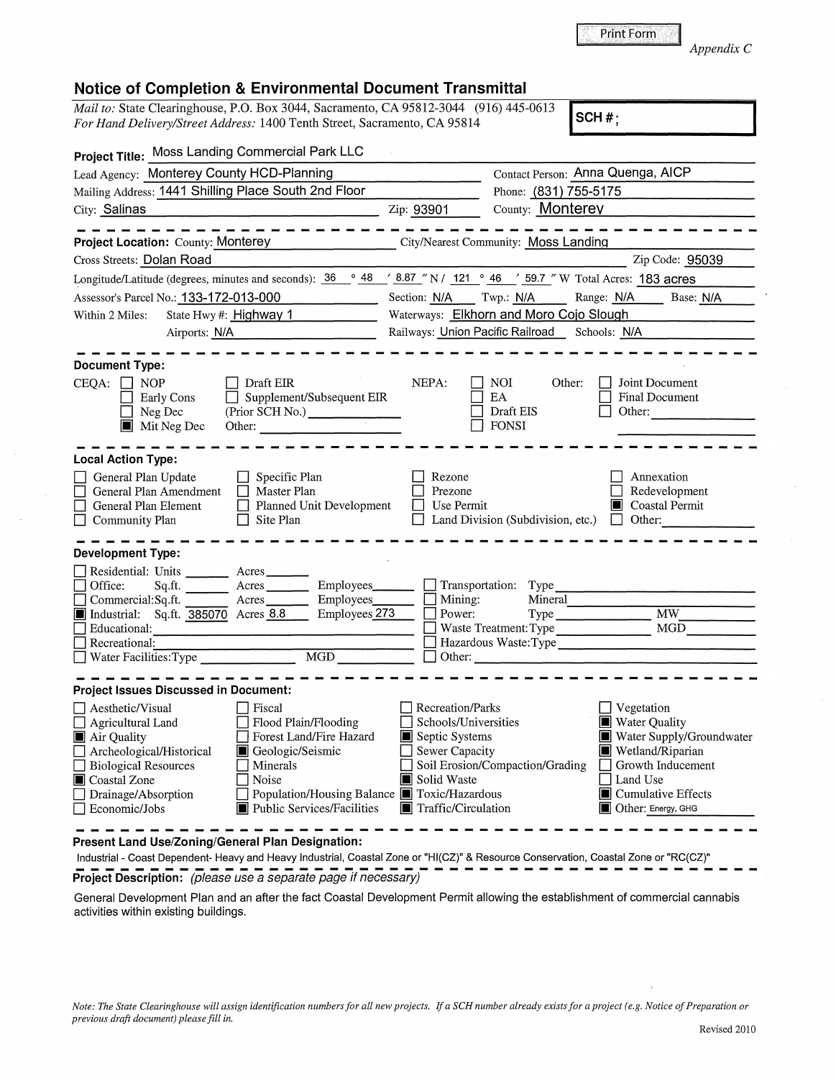| e.g. Notice of Preparation or |              |
|-------------------------------|--------------|
|                               | Revised 2010 |

| Print Form |            |  |
|------------|------------|--|
|            | Appendix C |  |

*Mail to: State Clearinghouse, P.O. Box 3044, Sacramento, CA 95812-3044* (916) 445-0613 **SCH #;**<br>For Hand Delivery/Street Address: 1400 Tenth Street, Sacramento, CA 95814 **SCH #;** *For Hand Delivery/Street Address:* 1400 Tenth Street, Sacramento, CA 95814 **.. s\_c\_H\_#\_;** \_\_\_\_\_\_\_\_ \_

| Project Title: Moss Landing Commercial Park LLC                                                                                                                                                                                                                                                                                                                               |                                                                                                                                    |                                                                                                                                                                                                                            |
|-------------------------------------------------------------------------------------------------------------------------------------------------------------------------------------------------------------------------------------------------------------------------------------------------------------------------------------------------------------------------------|------------------------------------------------------------------------------------------------------------------------------------|----------------------------------------------------------------------------------------------------------------------------------------------------------------------------------------------------------------------------|
| Lead Agency: Monterey County HCD-Planning                                                                                                                                                                                                                                                                                                                                     |                                                                                                                                    | Contact Person: Anna Quenga, AICP                                                                                                                                                                                          |
| Mailing Address: 1441 Shilling Place South 2nd Floor                                                                                                                                                                                                                                                                                                                          |                                                                                                                                    | Phone: (831) 755-5175                                                                                                                                                                                                      |
| City: Salinas                                                                                                                                                                                                                                                                                                                                                                 | Zip: 93901                                                                                                                         | County: Monterev                                                                                                                                                                                                           |
| <b>Project Location: County: Monterey</b>                                                                                                                                                                                                                                                                                                                                     |                                                                                                                                    | City/Nearest Community: Moss Landing                                                                                                                                                                                       |
| Cross Streets: Dolan Road                                                                                                                                                                                                                                                                                                                                                     |                                                                                                                                    | Zip Code: 95039                                                                                                                                                                                                            |
| Longitude/Latitude (degrees, minutes and seconds): $36 \degree 48 \degree 78.87 \degree N / 121 \degree 46 \degree 59.7 \degree W$ Total Acres: 183 acres                                                                                                                                                                                                                     |                                                                                                                                    |                                                                                                                                                                                                                            |
| Assessor's Parcel No.: 133-172-013-000<br>and the state of the control of                                                                                                                                                                                                                                                                                                     | Section: N/A Twp.: N/A                                                                                                             | Range: N/A Base: N/A                                                                                                                                                                                                       |
| Within 2 Miles:<br>State Hwy #: Highway 1                                                                                                                                                                                                                                                                                                                                     |                                                                                                                                    | Waterways: Elkhorn and Moro Cojo Slough                                                                                                                                                                                    |
| Airports: N/A                                                                                                                                                                                                                                                                                                                                                                 |                                                                                                                                    | Railways: Union Pacific Railroad Schools: N/A                                                                                                                                                                              |
| <b>Document Type:</b>                                                                                                                                                                                                                                                                                                                                                         |                                                                                                                                    |                                                                                                                                                                                                                            |
| CEQA:<br>$\Box$ NOP<br>Draft EIR<br>Supplement/Subsequent EIR<br>$\Box$<br>Early Cons<br>(Prior SCH No.)<br>Neg Dec<br>$\blacksquare$ Mit Neg Dec<br>Other:                                                                                                                                                                                                                   | NEPA:                                                                                                                              | Other:<br>Joint Document<br>NOI<br>EA<br>Final Document<br>Draft EIS<br>Other:<br><b>FONSI</b>                                                                                                                             |
| <b>Local Action Type:</b>                                                                                                                                                                                                                                                                                                                                                     |                                                                                                                                    |                                                                                                                                                                                                                            |
| General Plan Update<br>Specific Plan<br>General Plan Amendment<br>$\Box$ Master Plan<br>$\Box$ Planned Unit Development<br>General Plan Element<br>Site Plan<br>Community Plan                                                                                                                                                                                                | Rezone<br>Prezone<br>Use Permit                                                                                                    | Annexation<br>Redevelopment<br><b>Coastal Permit</b><br>Шł<br>Land Division (Subdivision, etc.) $\Box$<br>Other:                                                                                                           |
| Development Type:                                                                                                                                                                                                                                                                                                                                                             |                                                                                                                                    |                                                                                                                                                                                                                            |
| Residential: Units ______ Acres ______<br>Employees<br>Office:<br>Commercial:Sq.ft.<br>Acres<br>Employees<br>Industrial: Sq.ft. 385070 Acres 8.8<br>Employees <sub>273</sub><br>Educational:<br>Recreational:<br>Necreational:<br>Water Facilities:Type  Necreation Museum Museum Museum Museum Museum Museum Museum Museum Museum Museum Museum<br>MGD                       | $\blacksquare$ Mining:<br>Dower:<br>$\Box$ Other:                                                                                  | Transportation: Type<br>Mineral<br>$\overline{\text{MW}}$<br>Waste Treatment: Type<br>MGD<br>Hazardous Waste: Type                                                                                                         |
| <b>Project Issues Discussed in Document:</b>                                                                                                                                                                                                                                                                                                                                  |                                                                                                                                    |                                                                                                                                                                                                                            |
| $\Box$ Aesthetic/Visual<br>  Fiscal<br>Flood Plain/Flooding<br>Agricultural Land<br>Forest Land/Fire Hazard<br>Air Quality<br>Archeological/Historical<br>Geologic/Seismic<br>$\Box$ Biological Resources<br>  Minerals<br>Coastal Zone<br>Noise<br>Population/Housing Balance <b>T</b> Toxic/Hazardous<br>Drainage/Absorption<br>Public Services/Facilities<br>Economic/Jobs | Recreation/Parks<br>Schools/Universities<br>Septic Systems<br><b>Sewer Capacity</b><br>Solid Waste<br><b>T</b> Traffic/Circulation | $\Box$ Vegetation<br>Water Quality<br>Water Supply/Groundwater<br>Wetland/Riparian<br>Soil Erosion/Compaction/Grading<br>Growth Inducement<br>□ Land Use<br>$\blacksquare$ Cumulative Effects<br><b>Other: Energy, GHG</b> |

**Present Land Use/Zoning/General Plan Designation:** 

Industrial - Coast Dependent- Heavy and Heavy Industrial, Coastal Zone or "Hl(CZ)" & Resource Conservation, Coastal Zone or "RC(CZ)" **Project Description:** (please use a separate page if necessary)

General Development Plan and an after the fact Coastal Development Permit allowing the establishment of commercial cannabis activities within existing buildings.

*Note: The State Clearinghouse will assign identification numbers for all new projects.* If *a SCH number already exists for a project ( e.g. Notice of Preparation or previous drqft document) please fill in.*